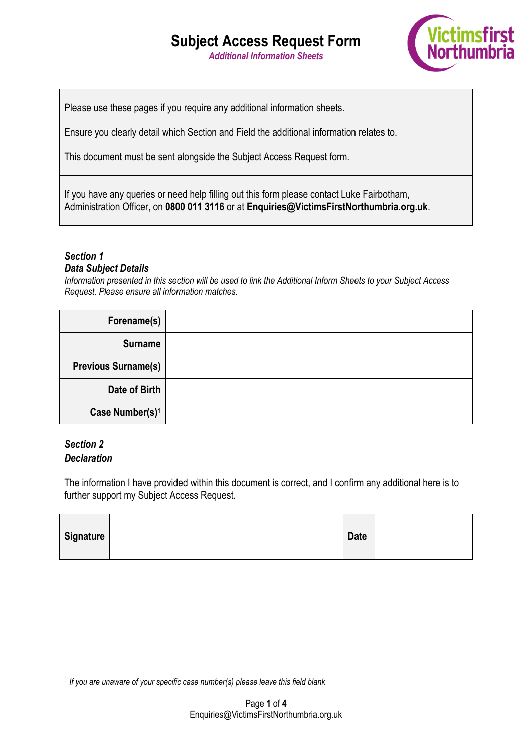*Additional Information Sheets*



Please use these pages if you require any additional information sheets.

Ensure you clearly detail which Section and Field the additional information relates to.

This document must be sent alongside the Subject Access Request form.

If you have any queries or need help filling out this form please contact Luke Fairbotham, Administration Officer, on **0800 011 3116** or at **Enquiries@VictimsFirstNorthumbria.org.uk**.

### *Section 1*

#### *Data Subject Details*

*Information presented in this section will be used to link the Additional Inform Sheets to your Subject Access Request. Please ensure all information matches.*

| Forename(s)                 |  |
|-----------------------------|--|
| <b>Surname</b>              |  |
| <b>Previous Surname(s)</b>  |  |
| Date of Birth               |  |
| Case Number(s) <sup>1</sup> |  |

### *Section 2 Declaration*

The information I have provided within this document is correct, and I confirm any additional here is to further support my Subject Access Request.

| Signature | <b>Date</b> |  |
|-----------|-------------|--|
|           |             |  |

 1 *If you are unaware of your specific case number(s) please leave this field blank*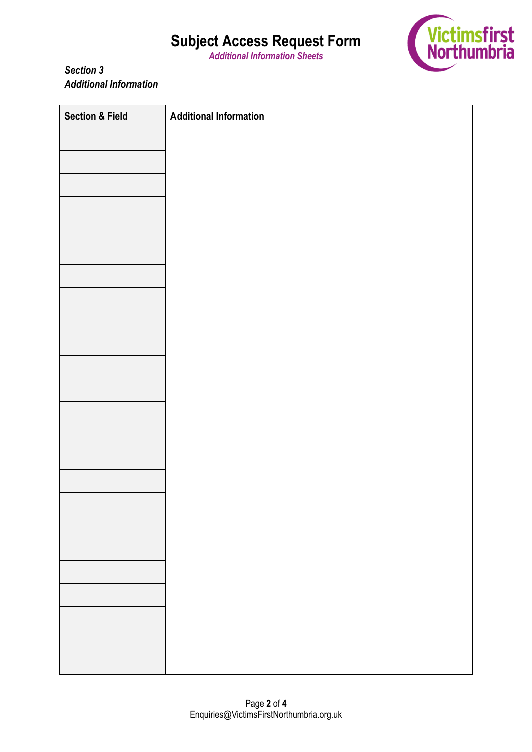*Additional Information Sheets*



*Section 3 Additional Information*

| <b>Section &amp; Field</b> | <b>Additional Information</b> |
|----------------------------|-------------------------------|
|                            |                               |
|                            |                               |
|                            |                               |
|                            |                               |
|                            |                               |
|                            |                               |
|                            |                               |
|                            |                               |
|                            |                               |
|                            |                               |
|                            |                               |
|                            |                               |
|                            |                               |
|                            |                               |
|                            |                               |
|                            |                               |
|                            |                               |
|                            |                               |
|                            |                               |
|                            |                               |
|                            |                               |
|                            |                               |
|                            |                               |
|                            |                               |
|                            |                               |
|                            |                               |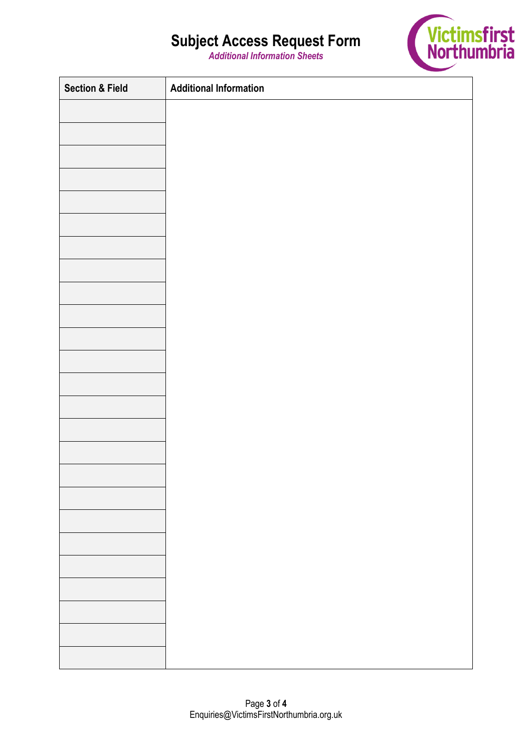*Additional Information Sheets*



| <b>Section &amp; Field</b> | <b>Additional Information</b> |
|----------------------------|-------------------------------|
|                            |                               |
|                            |                               |
|                            |                               |
|                            |                               |
|                            |                               |
|                            |                               |
|                            |                               |
|                            |                               |
|                            |                               |
|                            |                               |
|                            |                               |
|                            |                               |
|                            |                               |
|                            |                               |
|                            |                               |
|                            |                               |
|                            |                               |
|                            |                               |
|                            |                               |
|                            |                               |
|                            |                               |
|                            |                               |
|                            |                               |
|                            |                               |